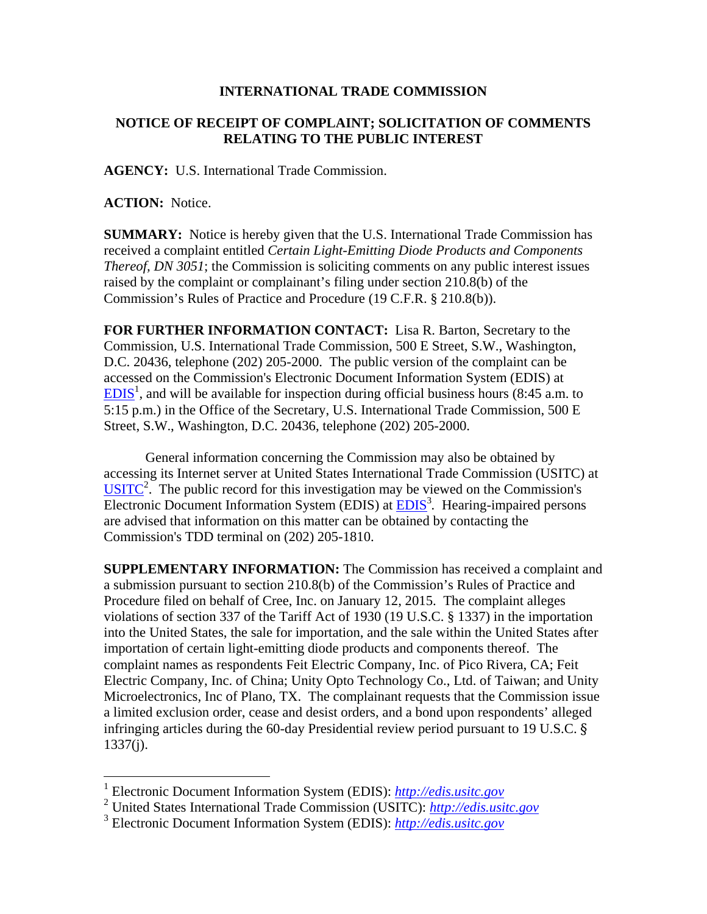## **INTERNATIONAL TRADE COMMISSION**

## **NOTICE OF RECEIPT OF COMPLAINT; SOLICITATION OF COMMENTS RELATING TO THE PUBLIC INTEREST**

**AGENCY:** U.S. International Trade Commission.

**ACTION:** Notice.

 $\overline{a}$ 

**SUMMARY:** Notice is hereby given that the U.S. International Trade Commission has received a complaint entitled *Certain Light-Emitting Diode Products and Components Thereof, DN 3051*; the Commission is soliciting comments on any public interest issues raised by the complaint or complainant's filing under section 210.8(b) of the Commission's Rules of Practice and Procedure (19 C.F.R. § 210.8(b)).

**FOR FURTHER INFORMATION CONTACT:** Lisa R. Barton, Secretary to the Commission, U.S. International Trade Commission, 500 E Street, S.W., Washington, D.C. 20436, telephone (202) 205-2000. The public version of the complaint can be accessed on the Commission's Electronic Document Information System (EDIS) at  $EDIS<sup>1</sup>$ , and will be available for inspection during official business hours (8:45 a.m. to 5:15 p.m.) in the Office of the Secretary, U.S. International Trade Commission, 500 E Street, S.W., Washington, D.C. 20436, telephone (202) 205-2000.

General information concerning the Commission may also be obtained by accessing its Internet server at United States International Trade Commission (USITC) at  $\overline{USITC}^2$ . The public record for this investigation may be viewed on the Commission's Electronic Document Information System (EDIS) at **EDIS**<sup>3</sup>. Hearing-impaired persons are advised that information on this matter can be obtained by contacting the Commission's TDD terminal on (202) 205-1810.

**SUPPLEMENTARY INFORMATION:** The Commission has received a complaint and a submission pursuant to section 210.8(b) of the Commission's Rules of Practice and Procedure filed on behalf of Cree, Inc. on January 12, 2015. The complaint alleges violations of section 337 of the Tariff Act of 1930 (19 U.S.C. § 1337) in the importation into the United States, the sale for importation, and the sale within the United States after importation of certain light-emitting diode products and components thereof. The complaint names as respondents Feit Electric Company, Inc. of Pico Rivera, CA; Feit Electric Company, Inc. of China; Unity Opto Technology Co., Ltd. of Taiwan; and Unity Microelectronics, Inc of Plano, TX. The complainant requests that the Commission issue a limited exclusion order, cease and desist orders, and a bond upon respondents' alleged infringing articles during the 60-day Presidential review period pursuant to 19 U.S.C. § 1337(j).

<sup>1</sup> Electronic Document Information System (EDIS): *http://edis.usitc.gov*

<sup>2</sup> United States International Trade Commission (USITC): *http://edis.usitc.gov*

<sup>3</sup> Electronic Document Information System (EDIS): *http://edis.usitc.gov*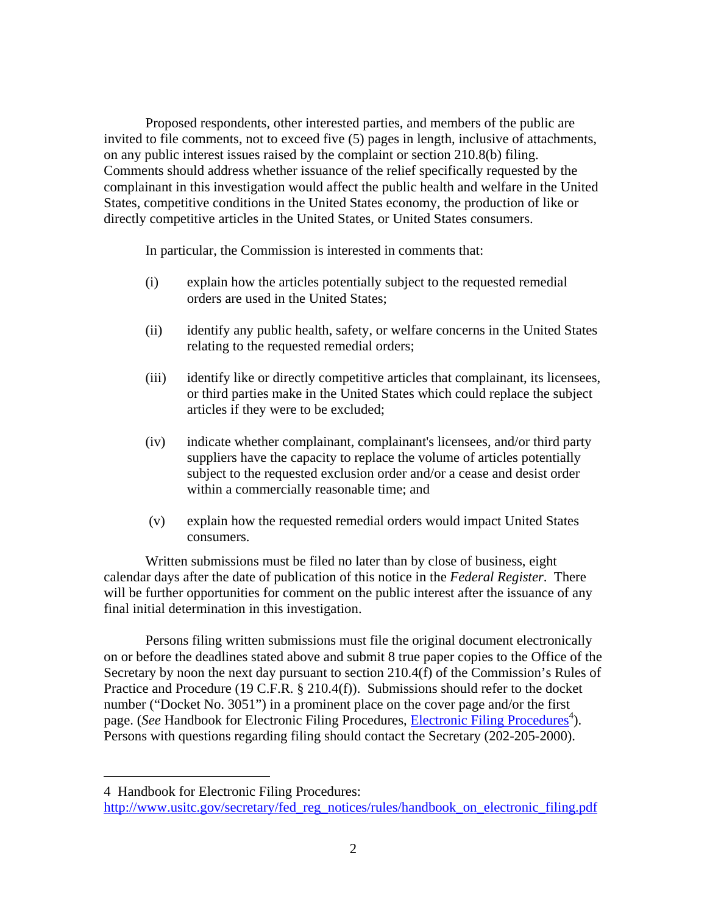Proposed respondents, other interested parties, and members of the public are invited to file comments, not to exceed five (5) pages in length, inclusive of attachments, on any public interest issues raised by the complaint or section 210.8(b) filing. Comments should address whether issuance of the relief specifically requested by the complainant in this investigation would affect the public health and welfare in the United States, competitive conditions in the United States economy, the production of like or directly competitive articles in the United States, or United States consumers.

In particular, the Commission is interested in comments that:

- (i) explain how the articles potentially subject to the requested remedial orders are used in the United States;
- (ii) identify any public health, safety, or welfare concerns in the United States relating to the requested remedial orders;
- (iii) identify like or directly competitive articles that complainant, its licensees, or third parties make in the United States which could replace the subject articles if they were to be excluded;
- (iv) indicate whether complainant, complainant's licensees, and/or third party suppliers have the capacity to replace the volume of articles potentially subject to the requested exclusion order and/or a cease and desist order within a commercially reasonable time; and
- (v) explain how the requested remedial orders would impact United States consumers.

Written submissions must be filed no later than by close of business, eight calendar days after the date of publication of this notice in the *Federal Register*. There will be further opportunities for comment on the public interest after the issuance of any final initial determination in this investigation.

Persons filing written submissions must file the original document electronically on or before the deadlines stated above and submit 8 true paper copies to the Office of the Secretary by noon the next day pursuant to section 210.4(f) of the Commission's Rules of Practice and Procedure (19 C.F.R. § 210.4(f)). Submissions should refer to the docket number ("Docket No. 3051") in a prominent place on the cover page and/or the first page. (*See* Handbook for Electronic Filing Procedures, *Electronic Filing Procedures*<sup>4</sup>). Persons with questions regarding filing should contact the Secretary (202-205-2000).

 $\overline{a}$ 

<sup>4</sup> Handbook for Electronic Filing Procedures:

http://www.usitc.gov/secretary/fed\_reg\_notices/rules/handbook\_on\_electronic\_filing.pdf